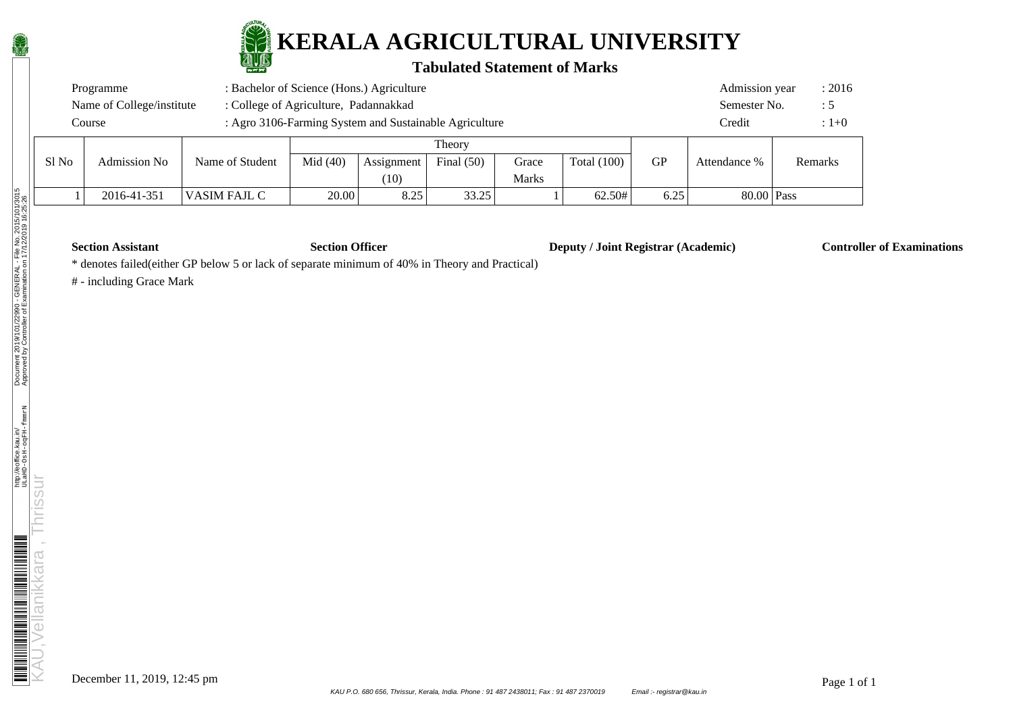

#### **Tabulated Statement of Marks**

|       | Programme                 |                                       |            | : Bachelor of Science (Hons.) Agriculture |              |              |               |           | Admission year | : 2016  |
|-------|---------------------------|---------------------------------------|------------|-------------------------------------------|--------------|--------------|---------------|-----------|----------------|---------|
|       | Name of College/institute | : College of Agriculture, Padannakkad |            |                                           |              |              |               |           | Semester No.   | : 5     |
|       | Course                    |                                       | Credit     | $:1 + 0$                                  |              |              |               |           |                |         |
|       |                           |                                       |            |                                           | Theory       |              |               |           |                |         |
| S1 No | Admission No              | Name of Student                       | Mid $(40)$ | Assignment                                | Final $(50)$ | Grace        | Total $(100)$ | <b>GP</b> | Attendance %   | Remarks |
|       |                           |                                       |            | (10)                                      |              | <b>Marks</b> |               |           |                |         |

1 2016-41-351 | VASIM FAJL C | 20.00 | 8.25 | 33.25 | 1 | 62.50# | 6.25 | 80.00 | Pass

**Section Assistant Section Officer Deputy / Joint Registrar (Academic) Controller of Examinations** 

\* denotes failed(either GP below 5 or lack of separate minimum of 40% in Theory and Practical)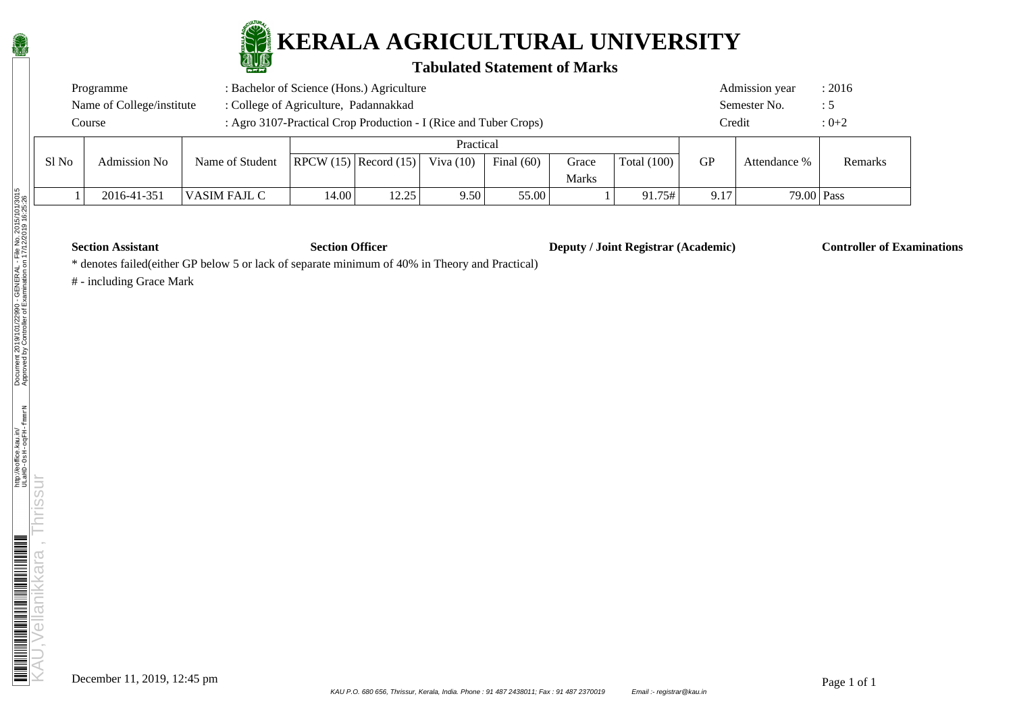

#### **Tabulated Statement of Marks**

|       | Programme                 | : Bachelor of Science (Hons.) Agriculture                        |       |                               |             |              |              |               |           | Admission year | : 2016         |
|-------|---------------------------|------------------------------------------------------------------|-------|-------------------------------|-------------|--------------|--------------|---------------|-----------|----------------|----------------|
|       | Name of College/institute | : College of Agriculture, Padannakkad                            |       |                               |             |              |              |               |           | Semester No.   | $\therefore$ 5 |
|       | Course                    | : Agro 3107-Practical Crop Production - I (Rice and Tuber Crops) |       |                               |             |              |              |               | Credit    |                | $: 0 + 2$      |
|       |                           |                                                                  |       |                               | Practical   |              |              |               |           |                |                |
| Sl No | Admission No              | Name of Student                                                  |       | $ $ RPCW $(15)$ Record $(15)$ | Viva $(10)$ | Final $(60)$ | Grace        | Total $(100)$ | <b>GP</b> | Attendance %   | Remarks        |
|       |                           |                                                                  |       |                               |             |              | <b>Marks</b> |               |           |                |                |
|       | 2016-41-351               | VASIM FAJL C                                                     | 14.00 | 12.25                         | 9.50        | 55.00        |              | 91.75#        | 9.17      | $79.00$ Pass   |                |

**Section Assistant Section Officer Deputy / Joint Registrar (Academic) Controller of Examinations** 

\* denotes failed(either GP below 5 or lack of separate minimum of 40% in Theory and Practical)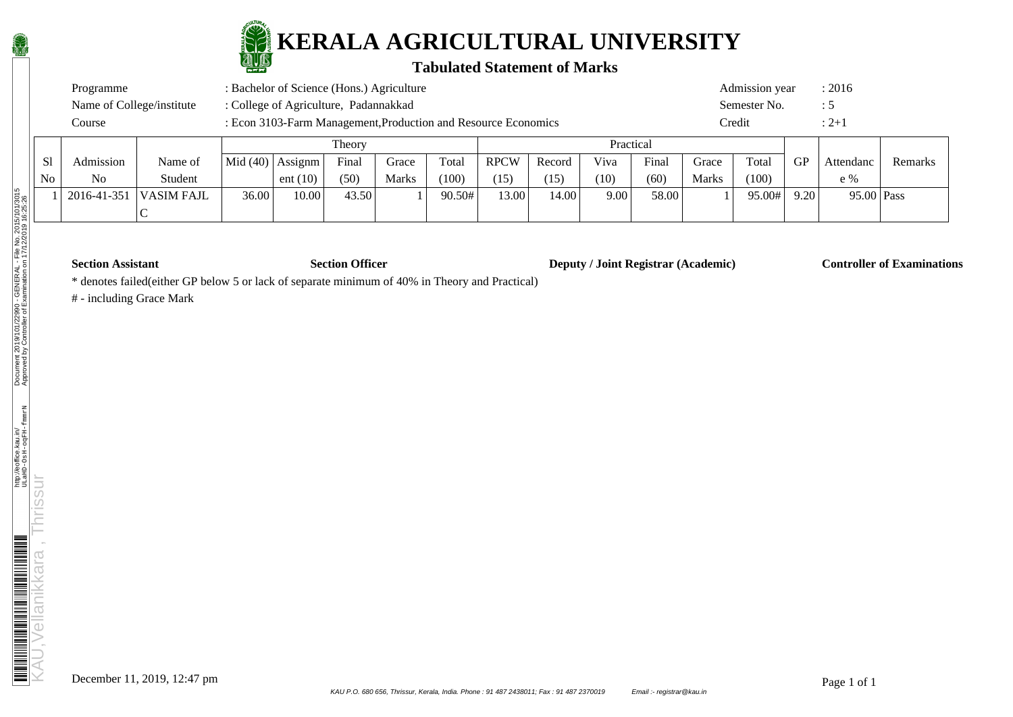

#### **Tabulated Statement of Marks**

| Programme                 |                                                                | Admission year | : 2016    |  |           |
|---------------------------|----------------------------------------------------------------|----------------|-----------|--|-----------|
| Name of College/institute |                                                                | Semester No.   | .: C      |  |           |
| Course                    | : Econ 3103-Farm Management, Production and Resource Economics |                | Credit    |  | $: 2 + 1$ |
|                           | Theory                                                         |                | Practical |  |           |

|    |             |             |       |                         | <b>THOUT</b> |              |        |       |        | 1 iacucai |       |       |        |           |              |         |
|----|-------------|-------------|-------|-------------------------|--------------|--------------|--------|-------|--------|-----------|-------|-------|--------|-----------|--------------|---------|
| S1 | Admission   | Name of     |       | $ Mid(40) $ Assignm $ $ | Final        | Grace        | Total  | RPCW  | Record | Viva      | Final | Grace | Total  | <b>GP</b> | Attendanc    | Remarks |
| No | No          | Student     |       | ent $(10)$              | (50)         | <b>Marks</b> | (100)  | (15)  | (15)   | (10)      | (60)  | Marks | (100)  |           | $e\%$        |         |
|    | 2016-41-351 | 'VASIM FAJL | 36.00 | 10.00                   | 43.50        |              | 90.50# | 13.00 | 14.00  | 9.00      | 58.00 |       | 95.00# | 9.20      | $95.00$ Pass |         |
|    |             |             |       |                         |              |              |        |       |        |           |       |       |        |           |              |         |

**Section Assistant Section Officer Deputy / Joint Registrar (Academic) Controller of Examinations** 

\* denotes failed(either GP below 5 or lack of separate minimum of 40% in Theory and Practical)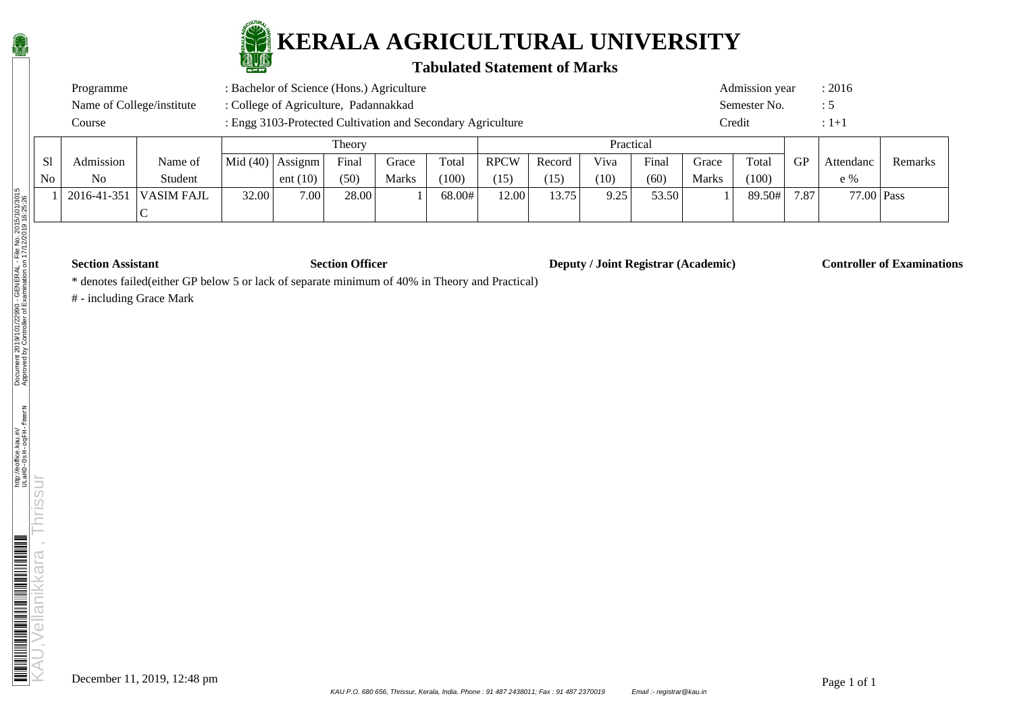

### **Tabulated Statement of Marks**

| Course                    | : Engg 3103-Protected Cultivation and Secondary Agriculture |  | Credit         |        |
|---------------------------|-------------------------------------------------------------|--|----------------|--------|
| Name of College/institute | : College of Agriculture, Padannakkad                       |  | Semester No.   | : 5    |
| Programme                 | : Bachelor of Science (Hons.) Agriculture                   |  | Admission year | : 2016 |

|    |                   |            |                                          |            | Theory |       |        |             |        | Practical |       |              |        |           |            |         |
|----|-------------------|------------|------------------------------------------|------------|--------|-------|--------|-------------|--------|-----------|-------|--------------|--------|-----------|------------|---------|
| S1 | Admission         | Name of    | $\vert$ Mid (40) $\vert$ Assignm $\vert$ |            | Final  | Grace | Total  | <b>RPCW</b> | Record | Viva      | Final | Grace        | Total  | <b>GP</b> | Attendanc  | Remarks |
| No | N <sub>o</sub>    | Student    |                                          | ent $(10)$ | (50)   | Marks | (100)  | (15)        | (15)   | (10)      | (60)  | <b>Marks</b> | (100)  |           | $e\%$      |         |
|    | $2016 - 41 - 351$ | VASIM FAJL | 32.00                                    | 7.00       | 28.00  |       | 68.00# | 12.00       | 13.75  | 9.25      | 53.50 |              | 89.50# | 7.87      | 77.00 Pass |         |
|    |                   |            |                                          |            |        |       |        |             |        |           |       |              |        |           |            |         |

**Section Assistant Section Officer Deputy / Joint Registrar (Academic) Controller of Examinations** 

\* denotes failed(either GP below 5 or lack of separate minimum of 40% in Theory and Practical)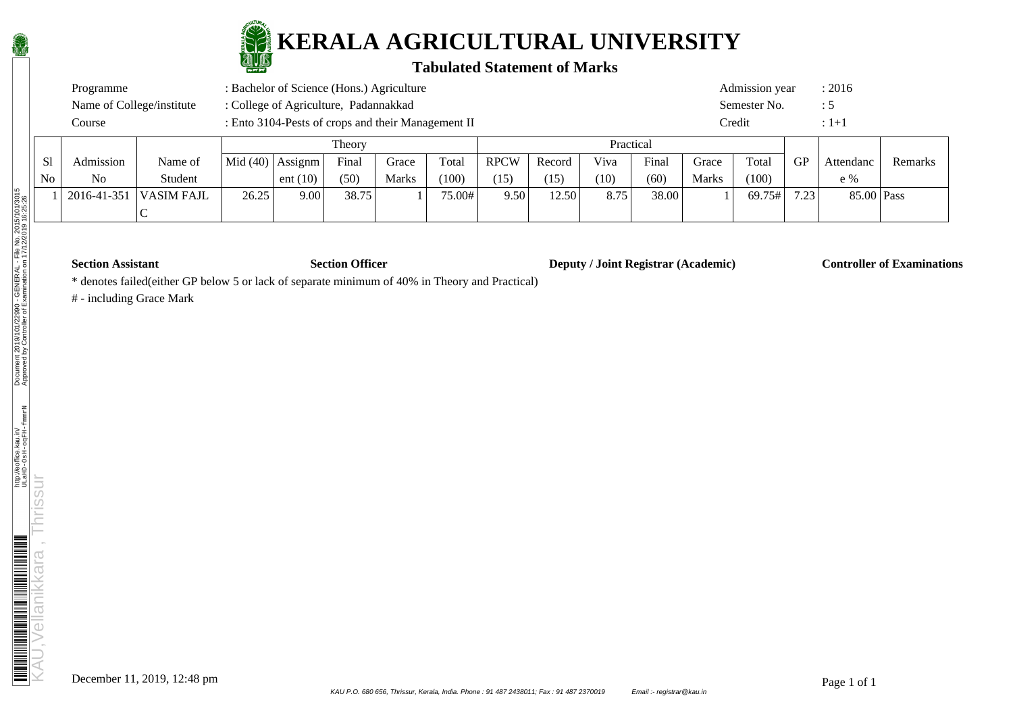

### **Tabulated Statement of Marks**

| Programme                 | : Bachelor of Science (Hons.) Agriculture          | Admission year | : 2016 |
|---------------------------|----------------------------------------------------|----------------|--------|
| Name of College/institute | : College of Agriculture, Padannakkad              | Semester No.   |        |
| Course                    | : Ento 3104-Pests of crops and their Management II | Credit         |        |

|    |             |            |                         |            | <b>Theory</b> |              |        |             |        | Practical |       |       |        |           |            |         |
|----|-------------|------------|-------------------------|------------|---------------|--------------|--------|-------------|--------|-----------|-------|-------|--------|-----------|------------|---------|
| S1 | Admission   | Name of    | $ Mid(40) $ Assignm $ $ |            | Final         | Grace        | Total  | <b>RPCW</b> | Record | Viva      | Final | Grace | Total  | <b>GP</b> | Attendanc  | Remarks |
| No | No          | Student    |                         | ent $(10)$ | (50)          | <b>Marks</b> | (100)  | (15)        | (15)   | (10)      | (60)  | Marks | (100)  |           | $e\%$      |         |
|    | 2016-41-351 | VASIM FAJL | 26.25                   | 9.00       | 38.75         |              | 75.00# | 9.50        | 12.50  | 8.75      | 38.00 |       | 69.75# | 7.23      | 85.00 Pass |         |
|    |             |            |                         |            |               |              |        |             |        |           |       |       |        |           |            |         |

**Section Assistant Section Officer Deputy / Joint Registrar (Academic) Controller of Examinations** 

\* denotes failed(either GP below 5 or lack of separate minimum of 40% in Theory and Practical)

$$
\frac{\mathbf{a}}{2}
$$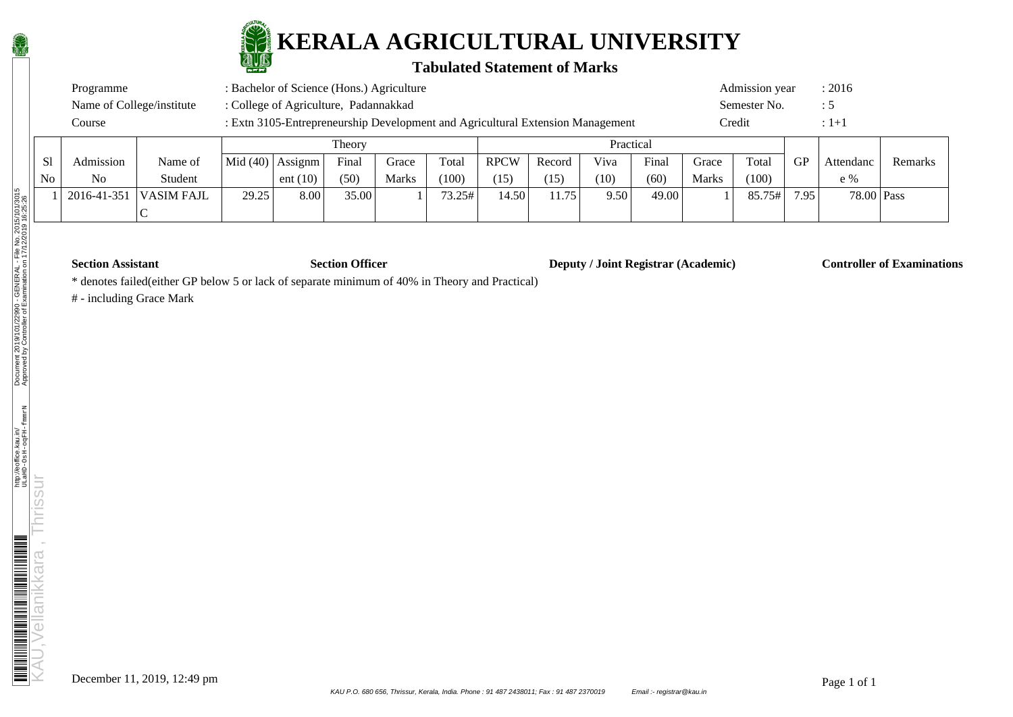

#### **Tabulated Statement of Marks**

|        | : Bachelor of Science (Hons.) Agriculture<br>Programme |         |  |                                                                                |       |       |       |             |        |      |           |       | Admission year |           | : 2016    |
|--------|--------------------------------------------------------|---------|--|--------------------------------------------------------------------------------|-------|-------|-------|-------------|--------|------|-----------|-------|----------------|-----------|-----------|
|        | Name of College/institute                              |         |  | : College of Agriculture, Padannakkad                                          |       |       |       |             |        |      |           |       | Semester No.   |           |           |
|        | Course                                                 |         |  | : Extn 3105-Entrepreneurship Development and Agricultural Extension Management |       |       |       |             |        |      |           |       | Credit         |           | $:1+1$    |
| Theory |                                                        |         |  |                                                                                |       |       |       |             |        |      | Practical |       |                |           |           |
| Sl     | Admission                                              | Name of |  | Mid $(40)$ Assignm                                                             | Final | Grace | Total | <b>RPCW</b> | Record | Viva | Final     | Grace | Total          | <b>GP</b> | Attendano |

| .<br>Admission | Name of     | Mid $(40)$         | Assignm    | Final | Grace        | Total | <b>RPCW</b> | Record   | Viva | $\mathbf{r}$<br>Final | Grace | Total  | ${\rm GP}$ | Attendanc  | Remarks |  |
|----------------|-------------|--------------------|------------|-------|--------------|-------|-------------|----------|------|-----------------------|-------|--------|------------|------------|---------|--|
| No             | Student     |                    | ent $(10)$ | (50)  | <b>Marks</b> | (100) | (15)        | (15)     | (10) | (60)                  | Marks | (100)  |            | e %        |         |  |
| 2016-41-351    | 'VASIM FAJL | 29.25<br>- - - - - | 8.00       | 35.00 |              | 5.25# | 4.50        | 175<br>. | 9.50 | 49.00                 |       | 85.75# | 795        | 78.00 Pass |         |  |
|                |             |                    |            |       |              |       |             |          |      |                       |       |        |            |            |         |  |

**Section Assistant Section Officer Deputy / Joint Registrar (Academic) Controller of Examinations** 

\* denotes failed(either GP below 5 or lack of separate minimum of 40% in Theory and Practical)

# - including Grace Mark

No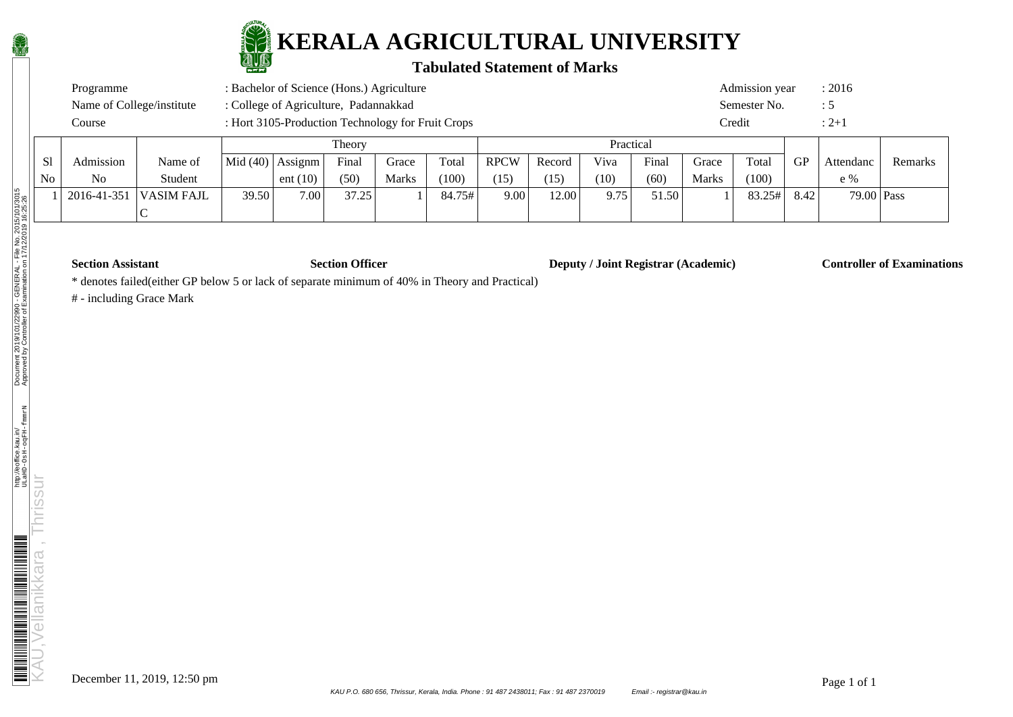

### **Tabulated Statement of Marks**

| Programme                 | : Bachelor of Science (Hons.) Agriculture         | Admission year | : 2016 |
|---------------------------|---------------------------------------------------|----------------|--------|
| Name of College/institute | : College of Agriculture, Padannakkad             | Semester No.   |        |
| Course                    | : Hort 3105-Production Technology for Fruit Crops | <b>Tredit</b>  |        |

|    |                |           |                    |            | Theory |              |        |             |        | Practical |       |              |        |      |            |         |
|----|----------------|-----------|--------------------|------------|--------|--------------|--------|-------------|--------|-----------|-------|--------------|--------|------|------------|---------|
| S1 | Admission      | Name of   | Mid (40)   Assignm |            | Final  | Grace        | Total  | <b>RPCW</b> | Record | Viva      | Finar | Grace        | Total  | GP   | Attendanc  | Remarks |
| No | N <sub>o</sub> | Student   |                    | ent $(10)$ | (50)   | <b>Marks</b> | (100)  | (15)        | (15)   | (10)      | (60)  | <b>Marks</b> | (100)  |      | e %        |         |
|    | 2016-41-351    | ASIM FAJL | 39.50              | 7.00       | 37.25  |              | 84.75# | 9.00        | 12.00  | 9.75      | 51.50 |              | 83.25# | 8.42 | 79.00 Pass |         |
|    |                |           |                    |            |        |              |        |             |        |           |       |              |        |      |            |         |

**Section Assistant Section Officer Deputy / Joint Registrar (Academic) Controller of Examinations** 

\* denotes failed(either GP below 5 or lack of separate minimum of 40% in Theory and Practical)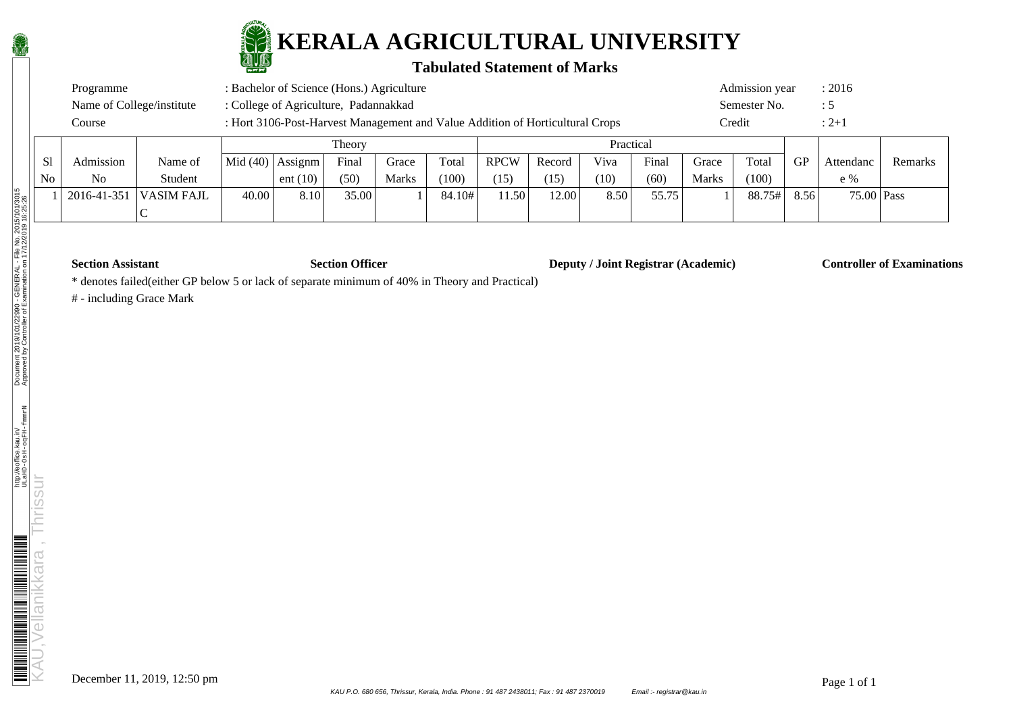

#### **Tabulated Statement of Marks**

| : Bachelor of Science (Hons.) Agriculture<br>Admission year<br>Programme |                                                                               |           |        |  |           |  |  |  |  |
|--------------------------------------------------------------------------|-------------------------------------------------------------------------------|-----------|--------|--|-----------|--|--|--|--|
| Name of College/institute                                                | Semester No.                                                                  |           | : C    |  |           |  |  |  |  |
| Course                                                                   | : Hort 3106-Post-Harvest Management and Value Addition of Horticultural Crops |           | Credit |  | $: 2 + i$ |  |  |  |  |
|                                                                          | Theory                                                                        | Practical |        |  |           |  |  |  |  |

|    |                |             | <b>THOUT</b> |                         |       |              | 1 ruetieai |             |        |      |       |              |        |      |            |         |
|----|----------------|-------------|--------------|-------------------------|-------|--------------|------------|-------------|--------|------|-------|--------------|--------|------|------------|---------|
| S1 | Admission      | Name of     |              | $ Mid(40) $ Assignm $ $ | Final | Grace        | Total      | <b>RPCW</b> | Record | Viva | Final | Grace        | Total  | GP   | Attendanc  | Remarks |
| No | N <sub>o</sub> | Student     |              | ent $(10)$              | (50)  | <b>Marks</b> | (100)      | (15)        | 15     | (10) | (60)  | <b>Marks</b> | (100)  |      | e %        |         |
|    | 2016-41-351    | 'VASIM FAJL | 40.00        | 8.10                    | 35.00 |              | 84.10#     | 1.50        | 12.00  | 8.50 | 55.75 |              | 88.75# | 8.56 | 75.00 Pass |         |
|    |                |             |              |                         |       |              |            |             |        |      |       |              |        |      |            |         |

**Section Assistant Section Officer Deputy / Joint Registrar (Academic) Controller of Examinations** 

\* denotes failed(either GP below 5 or lack of separate minimum of 40% in Theory and Practical)

# - including Grace Mark

 $\overline{\rm N}$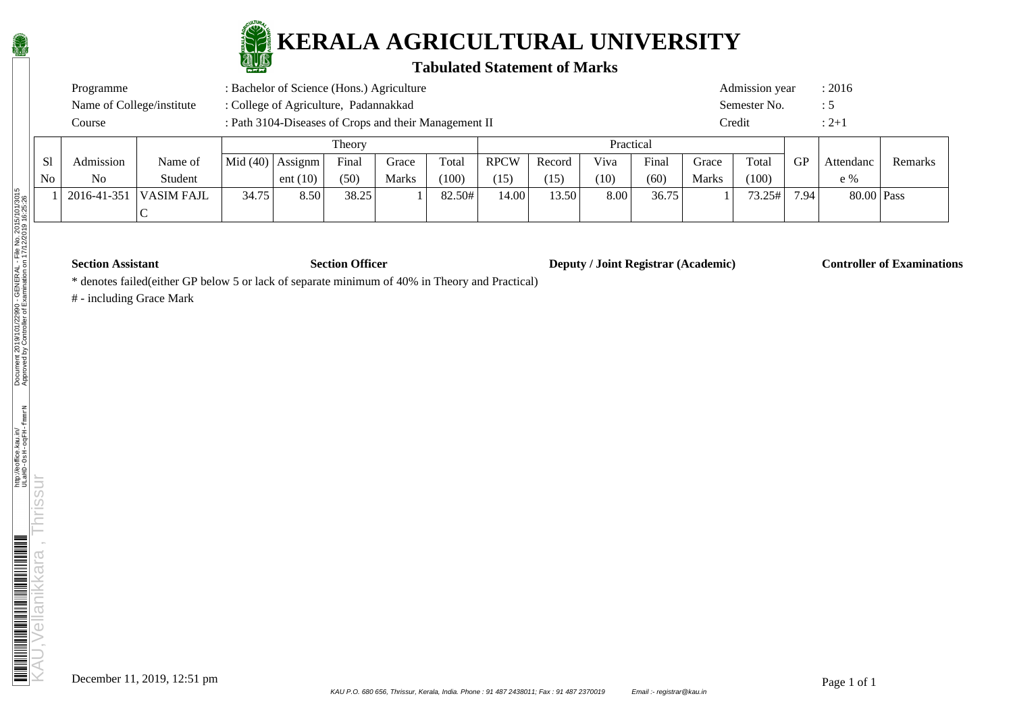

### **Tabulated Statement of Marks**

| Programme                 | : Bachelor of Science (Hons.) Agriculture             | Admission year | : 2016    |
|---------------------------|-------------------------------------------------------|----------------|-----------|
| Name of College/institute | : College of Agriculture, Padannakkad                 | Semester No.   |           |
| Course                    | : Path 3104-Diseases of Crops and their Management II | Credit         | $: 2 + 1$ |

|                |                |                   |            | Theory     |       |              |        | Practical   |        |      |       |              |        |      |            |         |
|----------------|----------------|-------------------|------------|------------|-------|--------------|--------|-------------|--------|------|-------|--------------|--------|------|------------|---------|
| S1             | Admission      | Name of           | Mid $(40)$ | Assignm    | Final | Grace        | Total  | <b>RPCW</b> | Record | Viva | Finar | Grace        | Total  | GP   | Attendanc  | Remarks |
| N <sub>o</sub> | N <sub>o</sub> | Student           |            | ent $(10)$ | (50)  | <b>Marks</b> | (100)  | (15)        | (15)   | (10) | (60)  | <b>Marks</b> | (100)  |      | e %        |         |
|                | 2016-41-351    | <b>VASIM FAJL</b> | 34.75      | 8.50       | 38.25 |              | 82.50# | 14.00       | 13.50  | 8.00 | 36.75 |              | 73.25# | 7.94 | 80.00 Pass |         |
|                |                |                   |            |            |       |              |        |             |        |      |       |              |        |      |            |         |

**Section Assistant Section Officer Deputy / Joint Registrar (Academic) Controller of Examinations** 

\* denotes failed(either GP below 5 or lack of separate minimum of 40% in Theory and Practical)